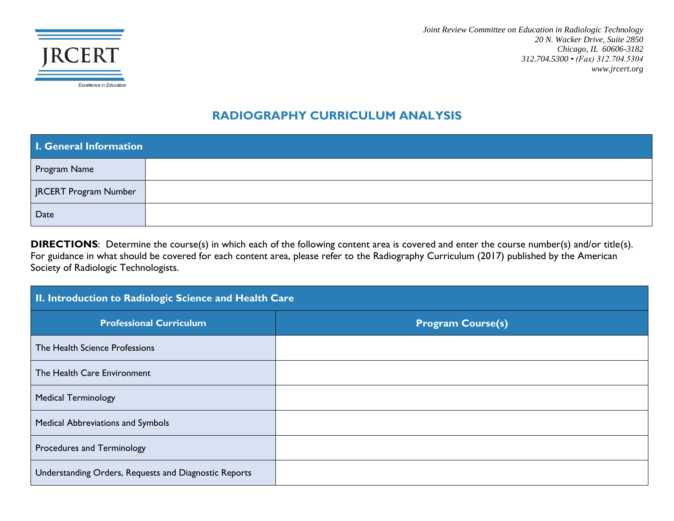

*Joint Review Committee on Education in Radiologic Technology 20 N. Wacker Drive, Suite 2850 Chicago, IL 60606-3182 312.704.5300 • (Fax) 312.704.5304 www.jrcert.org*

#### **RADIOGRAPHY CURRICULUM ANALYSIS**

| I. General Information |  |  |
|------------------------|--|--|
| Program Name           |  |  |
| JRCERT Program Number  |  |  |
| Date                   |  |  |

**DIRECTIONS**: Determine the course(s) in which each of the following content area is covered and enter the course number(s) and/or title(s). For guidance in what should be covered for each content area, please refer to the Radiography Curriculum (2017) published by the American Society of Radiologic Technologists.

| II. Introduction to Radiologic Science and Health Care |                          |  |
|--------------------------------------------------------|--------------------------|--|
| <b>Professional Curriculum</b>                         | <b>Program Course(s)</b> |  |
| The Health Science Professions                         |                          |  |
| The Health Care Environment                            |                          |  |
| <b>Medical Terminology</b>                             |                          |  |
| <b>Medical Abbreviations and Symbols</b>               |                          |  |
| Procedures and Terminology                             |                          |  |
| Understanding Orders, Requests and Diagnostic Reports  |                          |  |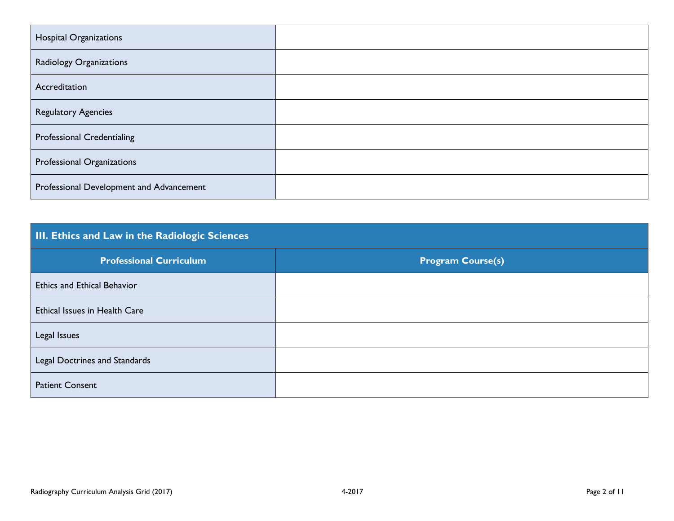| <b>Hospital Organizations</b>            |  |
|------------------------------------------|--|
| Radiology Organizations                  |  |
| Accreditation                            |  |
| <b>Regulatory Agencies</b>               |  |
| <b>Professional Credentialing</b>        |  |
| Professional Organizations               |  |
| Professional Development and Advancement |  |

| <b>III. Ethics and Law in the Radiologic Sciences</b> |                          |
|-------------------------------------------------------|--------------------------|
| <b>Professional Curriculum</b>                        | <b>Program Course(s)</b> |
| <b>Ethics and Ethical Behavior</b>                    |                          |
| Ethical Issues in Health Care                         |                          |
| Legal Issues                                          |                          |
| Legal Doctrines and Standards                         |                          |
| <b>Patient Consent</b>                                |                          |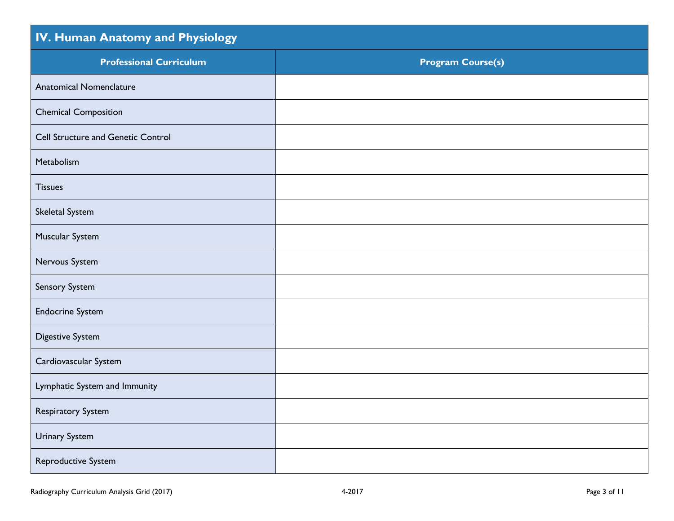| IV. Human Anatomy and Physiology          |                          |
|-------------------------------------------|--------------------------|
| <b>Professional Curriculum</b>            | <b>Program Course(s)</b> |
| <b>Anatomical Nomenclature</b>            |                          |
| <b>Chemical Composition</b>               |                          |
| <b>Cell Structure and Genetic Control</b> |                          |
| Metabolism                                |                          |
| <b>Tissues</b>                            |                          |
| Skeletal System                           |                          |
| Muscular System                           |                          |
| Nervous System                            |                          |
| Sensory System                            |                          |
| <b>Endocrine System</b>                   |                          |
| <b>Digestive System</b>                   |                          |
| Cardiovascular System                     |                          |
| Lymphatic System and Immunity             |                          |
| Respiratory System                        |                          |
| Urinary System                            |                          |
| Reproductive System                       |                          |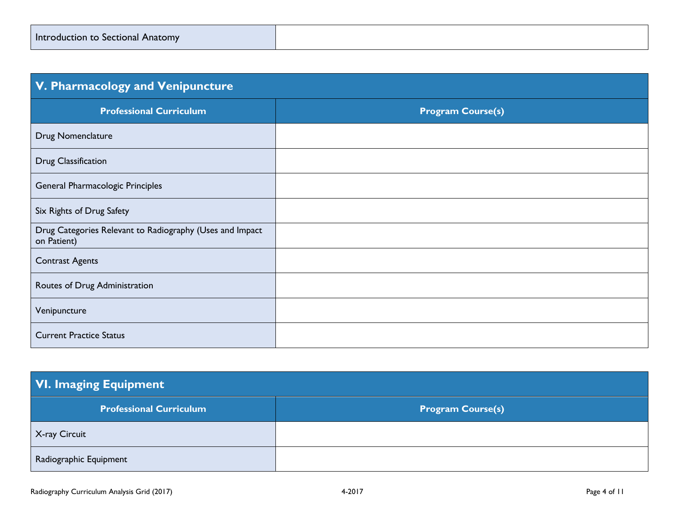| Introduction to Sectional Anatomy |  |
|-----------------------------------|--|
|-----------------------------------|--|

| V. Pharmacology and Venipuncture                                        |                          |
|-------------------------------------------------------------------------|--------------------------|
| <b>Professional Curriculum</b>                                          | <b>Program Course(s)</b> |
| Drug Nomenclature                                                       |                          |
| Drug Classification                                                     |                          |
| General Pharmacologic Principles                                        |                          |
| Six Rights of Drug Safety                                               |                          |
| Drug Categories Relevant to Radiography (Uses and Impact<br>on Patient) |                          |
| <b>Contrast Agents</b>                                                  |                          |
| Routes of Drug Administration                                           |                          |
| Venipuncture                                                            |                          |
| <b>Current Practice Status</b>                                          |                          |

| <b>VI. Imaging Equipment</b>   |                          |  |
|--------------------------------|--------------------------|--|
| <b>Professional Curriculum</b> | <b>Program Course(s)</b> |  |
| X-ray Circuit                  |                          |  |
| Radiographic Equipment         |                          |  |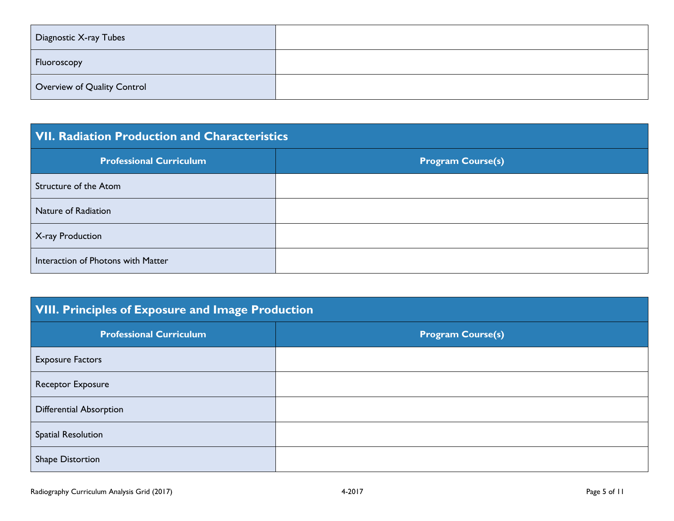| Diagnostic X-ray Tubes      |  |
|-----------------------------|--|
| Fluoroscopy                 |  |
| Overview of Quality Control |  |

### **VII. Radiation Production and Characteristics**

| <b>Professional Curriculum</b>     | <b>Program Course(s)</b> |
|------------------------------------|--------------------------|
| Structure of the Atom              |                          |
| Nature of Radiation                |                          |
| X-ray Production                   |                          |
| Interaction of Photons with Matter |                          |

## **VIII. Principles of Exposure and Image Production**

| <b>Professional Curriculum</b> | <b>Program Course(s)</b> |
|--------------------------------|--------------------------|
| <b>Exposure Factors</b>        |                          |
| Receptor Exposure              |                          |
| Differential Absorption        |                          |
| <b>Spatial Resolution</b>      |                          |
| Shape Distortion               |                          |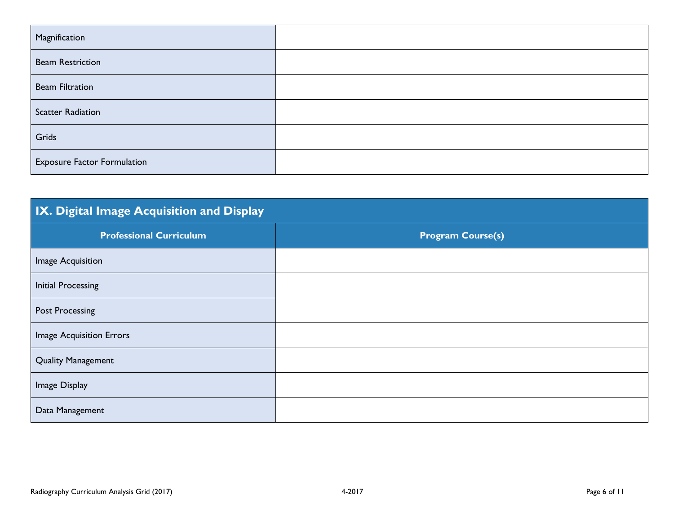| Magnification                      |  |
|------------------------------------|--|
| <b>Beam Restriction</b>            |  |
| <b>Beam Filtration</b>             |  |
| <b>Scatter Radiation</b>           |  |
| Grids                              |  |
| <b>Exposure Factor Formulation</b> |  |

|  | IX. Digital Image Acquisition and Display |  |
|--|-------------------------------------------|--|
|  |                                           |  |

| <b>Professional Curriculum</b> | <b>Program Course(s)</b> |
|--------------------------------|--------------------------|
| Image Acquisition              |                          |
| <b>Initial Processing</b>      |                          |
| <b>Post Processing</b>         |                          |
| Image Acquisition Errors       |                          |
| <b>Quality Management</b>      |                          |
| Image Display                  |                          |
| Data Management                |                          |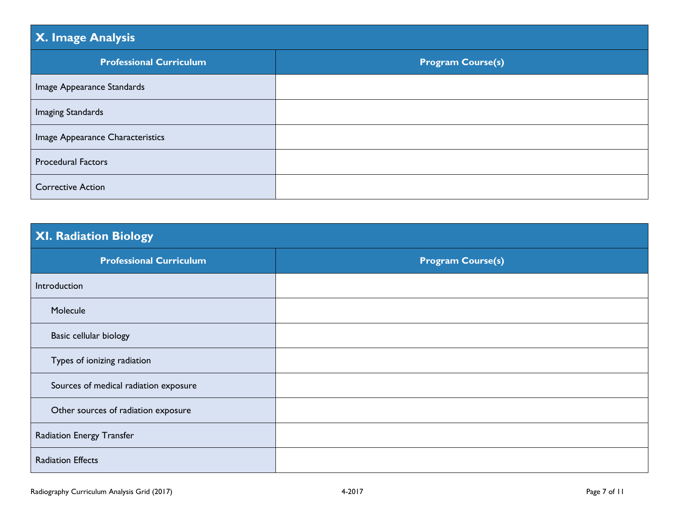# **X. Image Analysis Professional Curriculum Program Course(s)** Image Appearance Standards Imaging Standards Image Appearance Characteristics Procedural Factors Corrective Action

### **XI. Radiation Biology**

| <b>Professional Curriculum</b>        | <b>Program Course(s)</b> |
|---------------------------------------|--------------------------|
| Introduction                          |                          |
| Molecule                              |                          |
| Basic cellular biology                |                          |
| Types of ionizing radiation           |                          |
| Sources of medical radiation exposure |                          |
| Other sources of radiation exposure   |                          |
| Radiation Energy Transfer             |                          |
| <b>Radiation Effects</b>              |                          |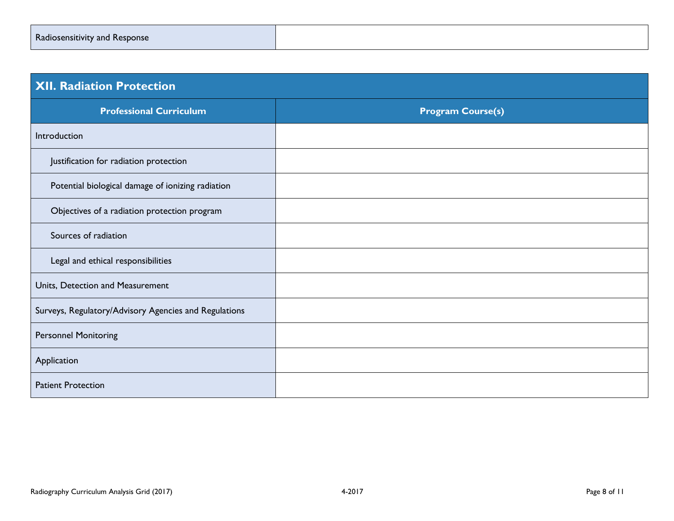| Radiosensitivity and Response |  |
|-------------------------------|--|
|-------------------------------|--|

| <b>XII. Radiation Protection</b>                      |                          |
|-------------------------------------------------------|--------------------------|
| <b>Professional Curriculum</b>                        | <b>Program Course(s)</b> |
| Introduction                                          |                          |
| Justification for radiation protection                |                          |
| Potential biological damage of ionizing radiation     |                          |
| Objectives of a radiation protection program          |                          |
| Sources of radiation                                  |                          |
| Legal and ethical responsibilities                    |                          |
| Units, Detection and Measurement                      |                          |
| Surveys, Regulatory/Advisory Agencies and Regulations |                          |
| <b>Personnel Monitoring</b>                           |                          |
| Application                                           |                          |
| <b>Patient Protection</b>                             |                          |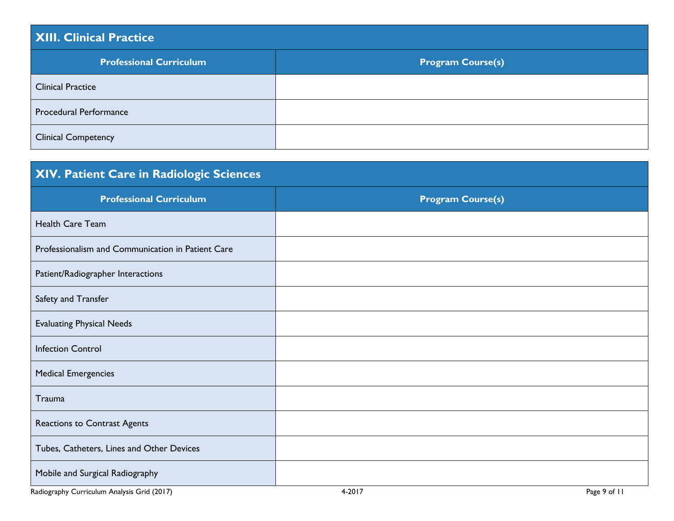# **XIII. Clinical Practice Professional Curriculum Program Course(s)** Clinical Practice Procedural Performance Clinical Competency

| XIV. Patient Care in Radiologic Sciences          |                          |
|---------------------------------------------------|--------------------------|
| <b>Professional Curriculum</b>                    | <b>Program Course(s)</b> |
| Health Care Team                                  |                          |
| Professionalism and Communication in Patient Care |                          |
| Patient/Radiographer Interactions                 |                          |
| Safety and Transfer                               |                          |
| <b>Evaluating Physical Needs</b>                  |                          |
| <b>Infection Control</b>                          |                          |
| <b>Medical Emergencies</b>                        |                          |
| Trauma                                            |                          |
| Reactions to Contrast Agents                      |                          |
| Tubes, Catheters, Lines and Other Devices         |                          |
| Mobile and Surgical Radiography                   |                          |

Radiography Curriculum Analysis Grid (2017) **Accord Accord Accord Accord Accord Accord Accord Accord Accord Accord Accord Accord Accord Accord Accord Accord Page 9 of 11**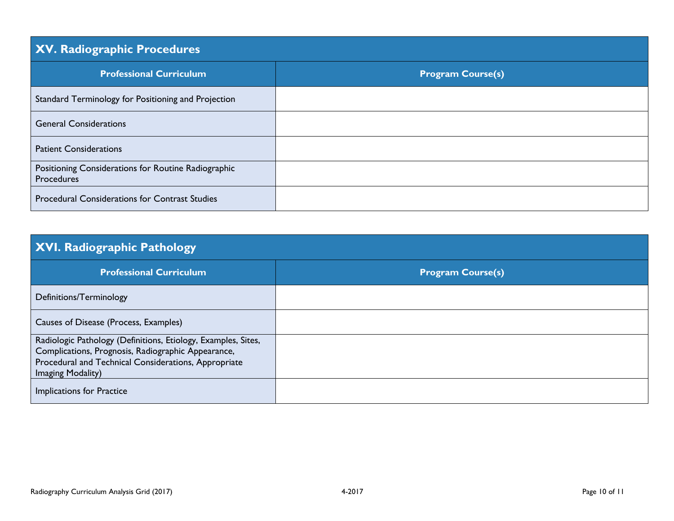| XV. Radiographic Procedures                                       |                          |
|-------------------------------------------------------------------|--------------------------|
| <b>Professional Curriculum</b>                                    | <b>Program Course(s)</b> |
| Standard Terminology for Positioning and Projection               |                          |
| <b>General Considerations</b>                                     |                          |
| <b>Patient Considerations</b>                                     |                          |
| Positioning Considerations for Routine Radiographic<br>Procedures |                          |
| <b>Procedural Considerations for Contrast Studies</b>             |                          |

## **XVI. Radiographic Pathology**

| <b>Professional Curriculum</b>                                | <b>Program Course(s)</b> |
|---------------------------------------------------------------|--------------------------|
| Definitions/Terminology                                       |                          |
| Causes of Disease (Process, Examples)                         |                          |
| Radiologic Pathology (Definitions, Etiology, Examples, Sites, |                          |
| Complications, Prognosis, Radiographic Appearance,            |                          |
| Procedural and Technical Considerations, Appropriate          |                          |
| Imaging Modality)                                             |                          |
| <b>Implications for Practice</b>                              |                          |